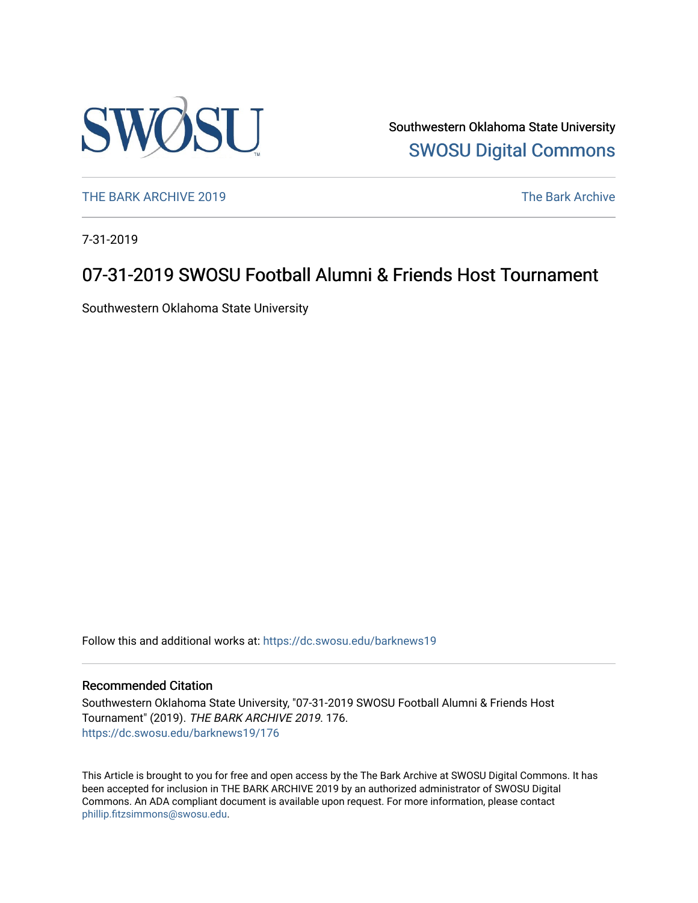

Southwestern Oklahoma State University [SWOSU Digital Commons](https://dc.swosu.edu/) 

[THE BARK ARCHIVE 2019](https://dc.swosu.edu/barknews19) The Bark Archive

7-31-2019

### 07-31-2019 SWOSU Football Alumni & Friends Host Tournament

Southwestern Oklahoma State University

Follow this and additional works at: [https://dc.swosu.edu/barknews19](https://dc.swosu.edu/barknews19?utm_source=dc.swosu.edu%2Fbarknews19%2F176&utm_medium=PDF&utm_campaign=PDFCoverPages)

#### Recommended Citation

Southwestern Oklahoma State University, "07-31-2019 SWOSU Football Alumni & Friends Host Tournament" (2019). THE BARK ARCHIVE 2019. 176. [https://dc.swosu.edu/barknews19/176](https://dc.swosu.edu/barknews19/176?utm_source=dc.swosu.edu%2Fbarknews19%2F176&utm_medium=PDF&utm_campaign=PDFCoverPages)

This Article is brought to you for free and open access by the The Bark Archive at SWOSU Digital Commons. It has been accepted for inclusion in THE BARK ARCHIVE 2019 by an authorized administrator of SWOSU Digital Commons. An ADA compliant document is available upon request. For more information, please contact [phillip.fitzsimmons@swosu.edu](mailto:phillip.fitzsimmons@swosu.edu).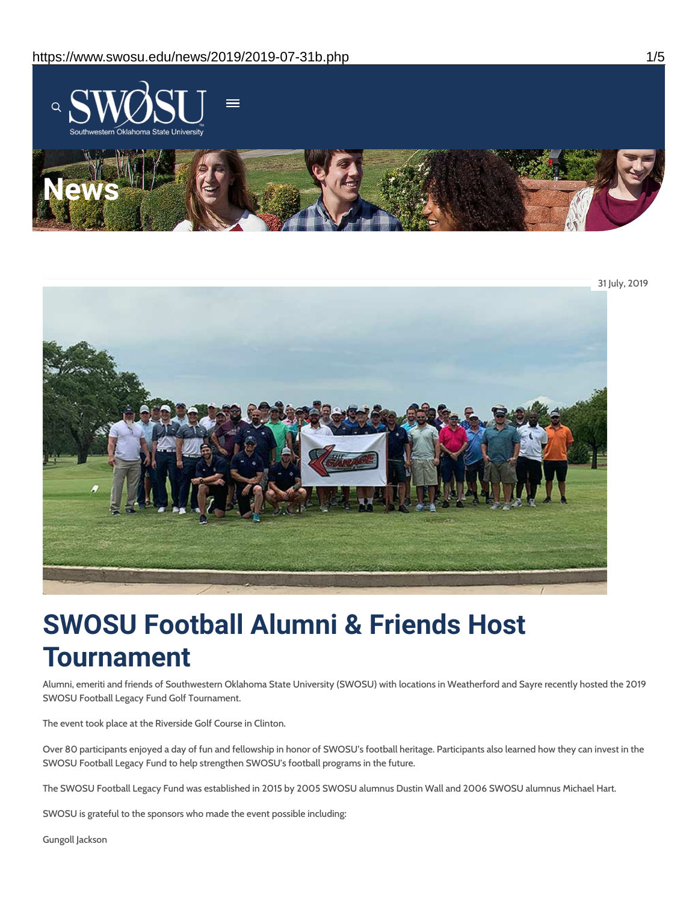



# **SWOSU Football Alumni & Friends Host Tournament**

Alumni, emeriti and friends of Southwestern Oklahoma State University (SWOSU) with locations in Weatherford and Sayre recently hosted the 2019 SWOSU Football Legacy Fund Golf Tournament.

The event took place at the Riverside Golf Course in Clinton.

Over 80 participants enjoyed a day of fun and fellowship in honor of SWOSU's football heritage. Participants also learned how they can invest in the SWOSU Football Legacy Fund to help strengthen SWOSU's football programs in the future.

The SWOSU Football Legacy Fund was established in 2015 by 2005 SWOSU alumnus Dustin Wall and 2006 SWOSU alumnus Michael Hart.

SWOSU is grateful to the sponsors who made the event possible including:

Gungoll Jackson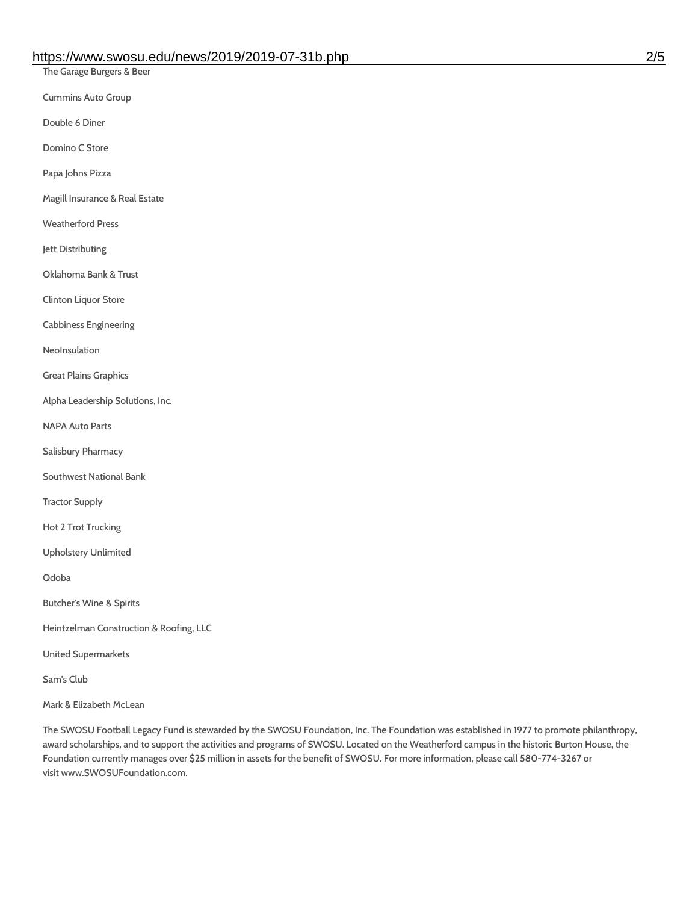The Garage Burgers & Beer

Cummins Auto Group

Double 6 Diner

Domino C Store

Papa Johns Pizza

Magill Insurance & Real Estate

Weatherford Press

Jett Distributing

Oklahoma Bank & Trust

Clinton Liquor Store

Cabbiness Engineering

NeoInsulation

Great Plains Graphics

Alpha Leadership Solutions, Inc.

NAPA Auto Parts

Salisbury Pharmacy

Southwest National Bank

Tractor Supply

Hot 2 Trot Trucking

Upholstery Unlimited

Qdoba

Butcher's Wine & Spirits

Heintzelman Construction & Roofing, LLC

United Supermarkets

Sam's Club

Mark & Elizabeth McLean

The SWOSU Football Legacy Fund is stewarded by the SWOSU Foundation, Inc. The Foundation was established in 1977 to promote philanthropy, award scholarships, and to support the activities and programs of SWOSU. Located on the Weatherford campus in the historic Burton House, the Foundation currently manages over \$25 million in assets for the benefit of SWOSU. For more information, please call 580-774-3267 or visit www.SWOSUFoundation.com.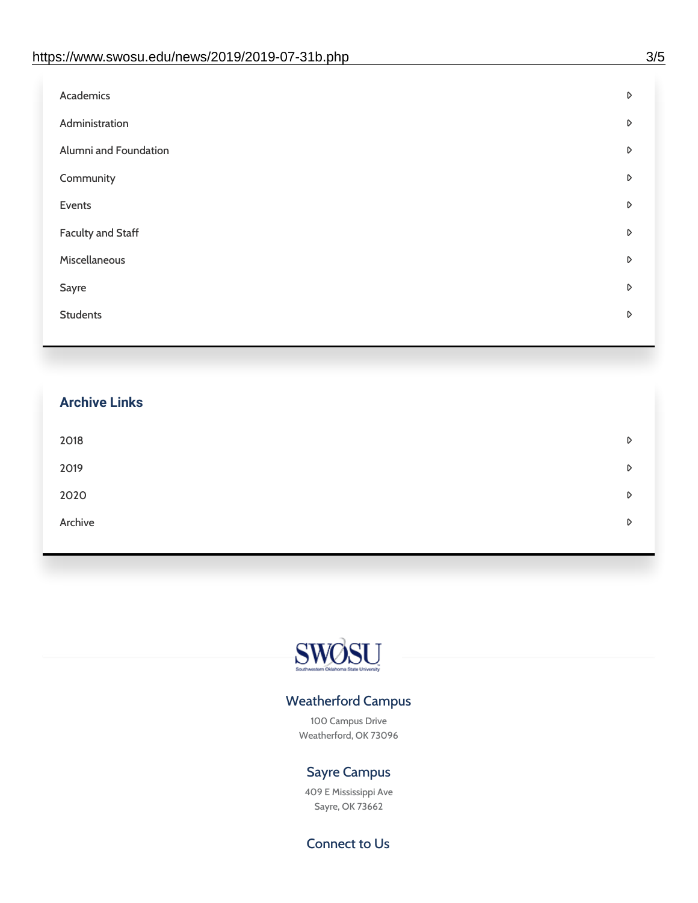| D |
|---|
| D |
| D |
| D |
| D |
| D |
| D |
| D |
| D |
|   |

## **Archive Links**  $2018$  $2019$ [2020](https://www.swosu.edu/news/2020/index.php)  $\bullet$ [Archive](https://dc.swosu.edu/bark/) **Archive Archive Archive Archive Archive** Archive Archive Archive Archive Archive Archive Archive Archive



### Weatherford Campus

100 Campus Drive Weatherford, OK 73096

### Sayre Campus

409 E Mississippi Ave Sayre, OK 73662

Connect to Us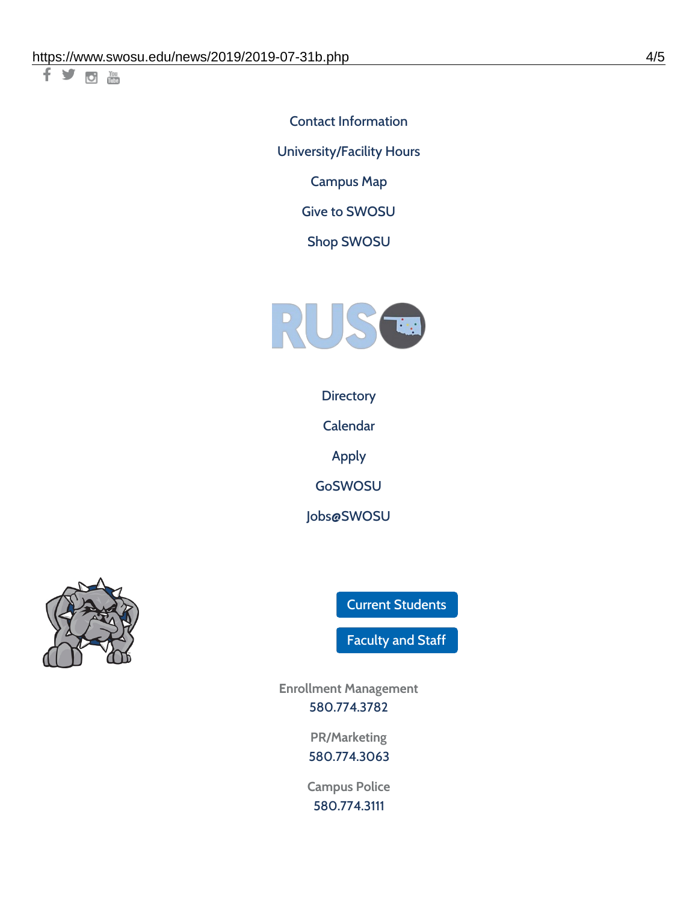千岁回调

Contact [Information](https://www.swosu.edu/about/contact.php)

[University/Facility](https://www.swosu.edu/about/operating-hours.php) Hours

[Campus](https://map.concept3d.com/?id=768#!ct/10964,10214,10213,10212,10205,10204,10203,10202,10136,10129,10128,0,31226,10130,10201,10641,0) Map

Give to [SWOSU](https://standingfirmly.com/donate)

Shop [SWOSU](https://shopswosu.merchorders.com/)



**[Directory](https://www.swosu.edu/directory/index.php)** 

[Calendar](https://eventpublisher.dudesolutions.com/swosu/)

[Apply](https://www.swosu.edu/admissions/apply-to-swosu.php)

[GoSWOSU](https://qlsso.quicklaunchsso.com/home/1267)

[Jobs@SWOSU](https://swosu.csod.com/ux/ats/careersite/1/home?c=swosu)



Current [Students](https://bulldog.swosu.edu/index.php)

[Faculty](https://bulldog.swosu.edu/faculty-staff/index.php) and Staff

**Enrollment Management** [580.774.3782](tel:5807743782)

> **PR/Marketing** [580.774.3063](tel:5807743063)

**Campus Police** [580.774.3111](tel:5807743111)